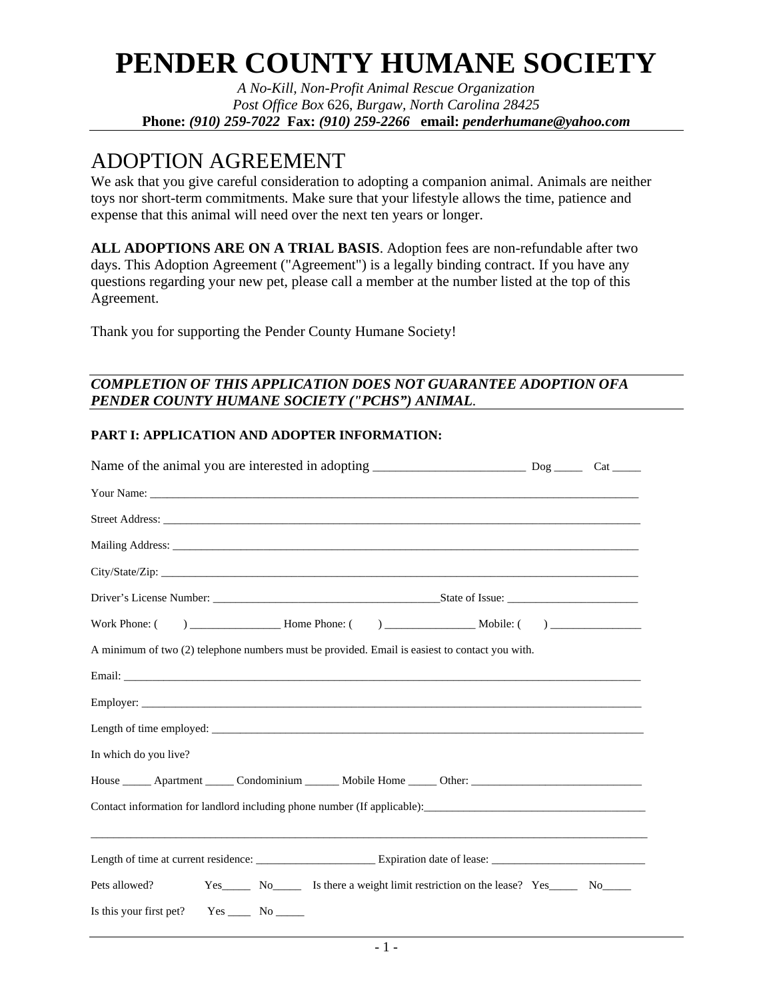# **PENDER COUNTY HUMANE SOCIETY**

*A No-Kill, Non-Profit Animal Rescue Organization Post Office Box* 626, *Burgaw, North Carolina 28425*  **Phone:** *(910) 259-7022* **Fax:** *(910) 259-2266* **email:** *penderhumane@yahoo.com* 

# ADOPTION AGREEMENT

We ask that you give careful consideration to adopting a companion animal. Animals are neither toys nor short-term commitments. Make sure that your lifestyle allows the time, patience and expense that this animal will need over the next ten years or longer.

**ALL ADOPTIONS ARE ON A TRIAL BASIS**. Adoption fees are non-refundable after two days. This Adoption Agreement ("Agreement") is a legally binding contract. If you have any questions regarding your new pet, please call a member at the number listed at the top of this Agreement.

Thank you for supporting the Pender County Humane Society!

# *COMPLETION OF THIS APPLICATION DOES NOT GUARANTEE ADOPTION OFA PENDER COUNTY HUMANE SOCIETY ("PCHS") ANIMAL.*

# **PART I: APPLICATION AND ADOPTER INFORMATION:**

| A minimum of two (2) telephone numbers must be provided. Email is easiest to contact you with. |  |
|------------------------------------------------------------------------------------------------|--|
|                                                                                                |  |
|                                                                                                |  |
|                                                                                                |  |
| In which do you live?                                                                          |  |
| House <u>Apartment</u> Condominium Mobile Home Other: Condominium Apple 1918                   |  |
| ,我们也不会有什么。""我们的人,我们也不会有什么?""我们的人,我们也不会有什么?""我们的人,我们也不会有什么?""我们的人,我们也不会有什么?""我们的人               |  |
|                                                                                                |  |
| Pets allowed?                                                                                  |  |
| Is this your first pet? $Yes \_\_$ No $\_\_$                                                   |  |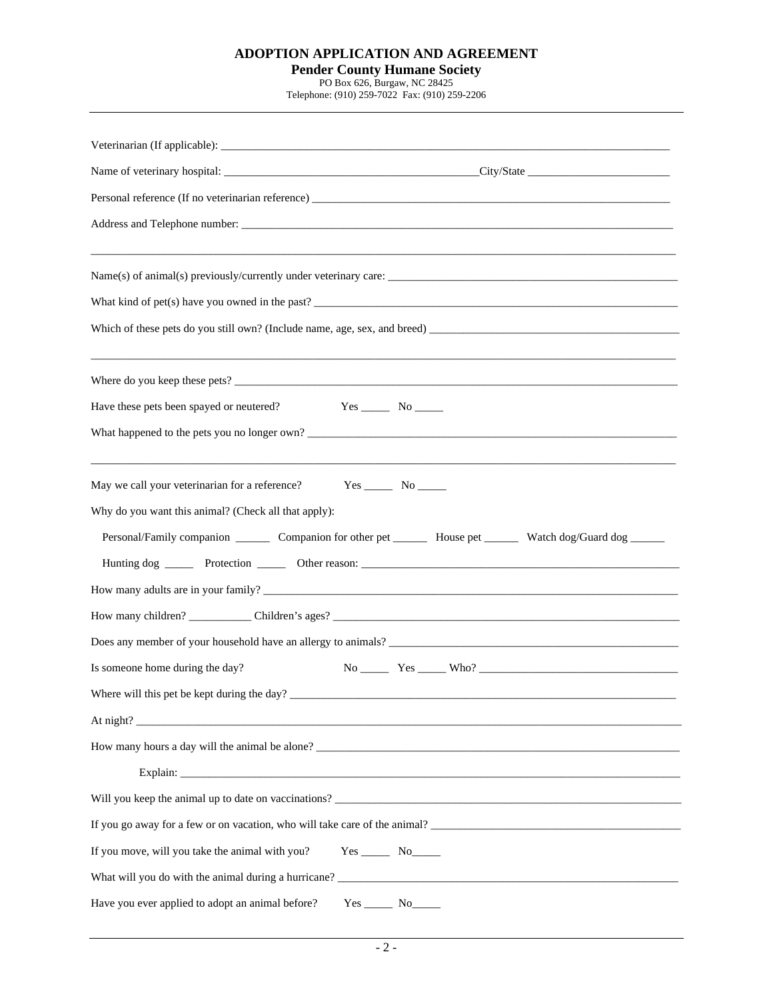# **ADOPTION APPLICATION AND AGREEMENT**

#### **Pender County Humane Society**

PO Box 626, Burgaw, NC 28425

Telephone: (910) 259-7022 Fax: (910) 259-2206

| What kind of pet(s) have you owned in the past?                                                                                                                                                                         |
|-------------------------------------------------------------------------------------------------------------------------------------------------------------------------------------------------------------------------|
|                                                                                                                                                                                                                         |
|                                                                                                                                                                                                                         |
| Have these pets been spayed or neutered?<br>$Yes \_\_\_$ No $\_\_\_\_$                                                                                                                                                  |
| What happened to the pets you no longer own?                                                                                                                                                                            |
| May we call your veterinarian for a reference?<br>Why do you want this animal? (Check all that apply):<br>Personal/Family companion _________ Companion for other pet _________ House pet _________ Watch dog/Guard dog |
| How many adults are in your family?                                                                                                                                                                                     |
|                                                                                                                                                                                                                         |
|                                                                                                                                                                                                                         |
| Is someone home during the day?<br>$No$ $Yes$ $Who?$ $Two$                                                                                                                                                              |
| Where will this pet be kept during the day?                                                                                                                                                                             |
|                                                                                                                                                                                                                         |
| How many hours a day will the animal be alone?                                                                                                                                                                          |
|                                                                                                                                                                                                                         |
| Will you keep the animal up to date on vaccinations?                                                                                                                                                                    |
| If you go away for a few or on vacation, who will take care of the animal?                                                                                                                                              |
| If you move, will you take the animal with you?<br>$Yes$ No                                                                                                                                                             |
| What will you do with the animal during a hurricane?                                                                                                                                                                    |
| Have you ever applied to adopt an animal before?<br>$Yes$ No                                                                                                                                                            |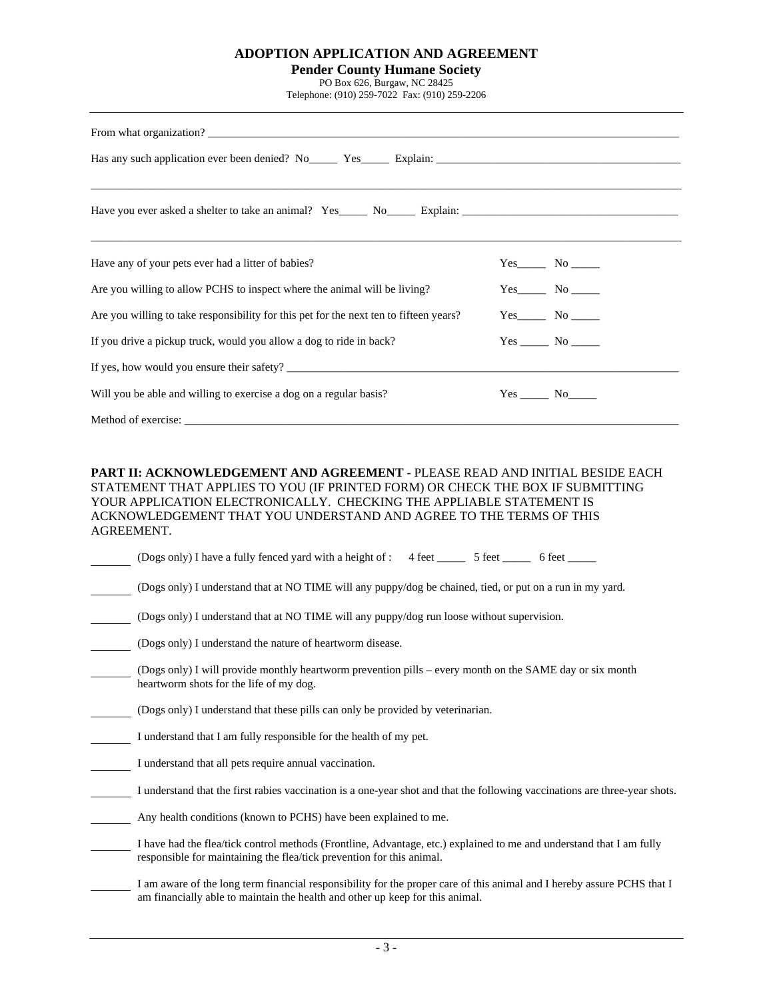#### **ADOPTION APPLICATION AND AGREEMENT**

#### **Pender County Humane Society**

PO Box 626, Burgaw, NC 28425

Telephone: (910) 259-7022 Fax: (910) 259-2206

| Have any of your pets ever had a litter of babies?                                     |                   |
|----------------------------------------------------------------------------------------|-------------------|
| Are you willing to allow PCHS to inspect where the animal will be living?              | $Yes$ No $\qquad$ |
| Are you willing to take responsibility for this pet for the next ten to fifteen years? |                   |
| If you drive a pickup truck, would you allow a dog to ride in back?                    |                   |
|                                                                                        |                   |
| Will you be able and willing to exercise a dog on a regular basis?                     | $Yes$ No $\_\_$   |
|                                                                                        |                   |

#### **PART II: ACKNOWLEDGEMENT AND AGREEMENT -** PLEASE READ AND INITIAL BESIDE EACH STATEMENT THAT APPLIES TO YOU (IF PRINTED FORM) OR CHECK THE BOX IF SUBMITTING YOUR APPLICATION ELECTRONICALLY. CHECKING THE APPLIABLE STATEMENT IS ACKNOWLEDGEMENT THAT YOU UNDERSTAND AND AGREE TO THE TERMS OF THIS AGREEMENT.

|  | (Dogs only) I have a fully fenced yard with a height of : $\frac{4}{5}$ feet | 5 feet | 6 feet |
|--|------------------------------------------------------------------------------|--------|--------|
|  |                                                                              |        |        |

| (Dogs only) I understand that at NO TIME will any puppy/dog be chained, tied, or put on a run in my yard. |  |  |
|-----------------------------------------------------------------------------------------------------------|--|--|
|                                                                                                           |  |  |
|                                                                                                           |  |  |
|                                                                                                           |  |  |

- (Dogs only) I understand that at NO TIME will any puppy/dog run loose without supervision.
- (Dogs only) I understand the nature of heartworm disease.
- (Dogs only) I will provide monthly heartworm prevention pills every month on the SAME day or six month heartworm shots for the life of my dog.
- (Dogs only) I understand that these pills can only be provided by veterinarian.
- I understand that I am fully responsible for the health of my pet.
- I understand that all pets require annual vaccination.
- I understand that the first rabies vaccination is a one-year shot and that the following vaccinations are three-year shots.
- Any health conditions (known to PCHS) have been explained to me.
- I have had the flea/tick control methods (Frontline, Advantage, etc.) explained to me and understand that I am fully responsible for maintaining the flea/tick prevention for this animal.
- I am aware of the long term financial responsibility for the proper care of this animal and I hereby assure PCHS that I am financially able to maintain the health and other up keep for this animal.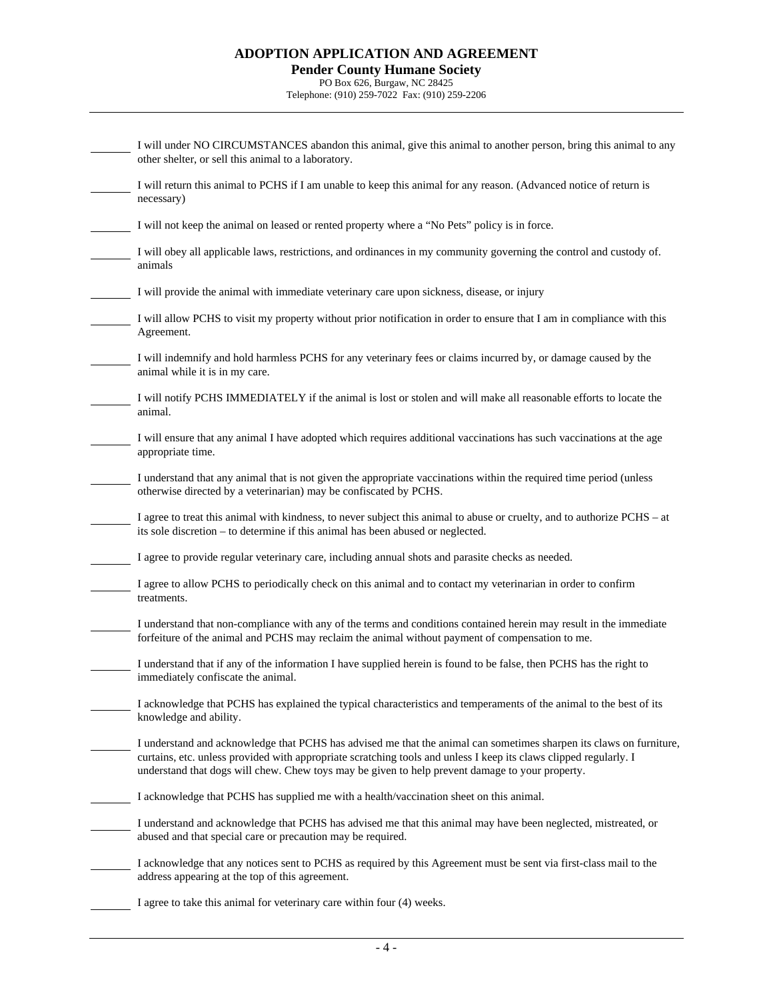### **ADOPTION APPLICATION AND AGREEMENT Pender County Humane Society**

# PO Box 626, Burgaw, NC 28425

Telephone: (910) 259-7022 Fax: (910) 259-2206

| I will under NO CIRCUMSTANCES abandon this animal, give this animal to another person, bring this animal to any<br>other shelter, or sell this animal to a laboratory.                                                                                                                                                                      |
|---------------------------------------------------------------------------------------------------------------------------------------------------------------------------------------------------------------------------------------------------------------------------------------------------------------------------------------------|
| I will return this animal to PCHS if I am unable to keep this animal for any reason. (Advanced notice of return is<br>necessary)                                                                                                                                                                                                            |
| I will not keep the animal on leased or rented property where a "No Pets" policy is in force.                                                                                                                                                                                                                                               |
| I will obey all applicable laws, restrictions, and ordinances in my community governing the control and custody of.<br>animals                                                                                                                                                                                                              |
| I will provide the animal with immediate veterinary care upon sickness, disease, or injury                                                                                                                                                                                                                                                  |
| I will allow PCHS to visit my property without prior notification in order to ensure that I am in compliance with this<br>Agreement.                                                                                                                                                                                                        |
| I will indemnify and hold harmless PCHS for any veterinary fees or claims incurred by, or damage caused by the<br>animal while it is in my care.                                                                                                                                                                                            |
| I will notify PCHS IMMEDIATELY if the animal is lost or stolen and will make all reasonable efforts to locate the<br>animal.                                                                                                                                                                                                                |
| I will ensure that any animal I have adopted which requires additional vaccinations has such vaccinations at the age<br>appropriate time.                                                                                                                                                                                                   |
| I understand that any animal that is not given the appropriate vaccinations within the required time period (unless<br>otherwise directed by a veterinarian) may be confiscated by PCHS.                                                                                                                                                    |
| I agree to treat this animal with kindness, to never subject this animal to abuse or cruelty, and to authorize PCHS – at<br>its sole discretion – to determine if this animal has been abused or neglected.                                                                                                                                 |
| I agree to provide regular veterinary care, including annual shots and parasite checks as needed.                                                                                                                                                                                                                                           |
| I agree to allow PCHS to periodically check on this animal and to contact my veterinarian in order to confirm<br>treatments.                                                                                                                                                                                                                |
| I understand that non-compliance with any of the terms and conditions contained herein may result in the immediate<br>forfeiture of the animal and PCHS may reclaim the animal without payment of compensation to me.                                                                                                                       |
| I understand that if any of the information I have supplied herein is found to be false, then PCHS has the right to<br>immediately confiscate the animal.                                                                                                                                                                                   |
| I acknowledge that PCHS has explained the typical characteristics and temperaments of the animal to the best of its<br>knowledge and ability.                                                                                                                                                                                               |
| I understand and acknowledge that PCHS has advised me that the animal can sometimes sharpen its claws on furniture,<br>curtains, etc. unless provided with appropriate scratching tools and unless I keep its claws clipped regularly. I<br>understand that dogs will chew. Chew toys may be given to help prevent damage to your property. |
| I acknowledge that PCHS has supplied me with a health/vaccination sheet on this animal.                                                                                                                                                                                                                                                     |
| I understand and acknowledge that PCHS has advised me that this animal may have been neglected, mistreated, or<br>abused and that special care or precaution may be required.                                                                                                                                                               |
| I acknowledge that any notices sent to PCHS as required by this Agreement must be sent via first-class mail to the<br>address appearing at the top of this agreement.                                                                                                                                                                       |
| I agree to take this animal for veterinary care within four (4) weeks.                                                                                                                                                                                                                                                                      |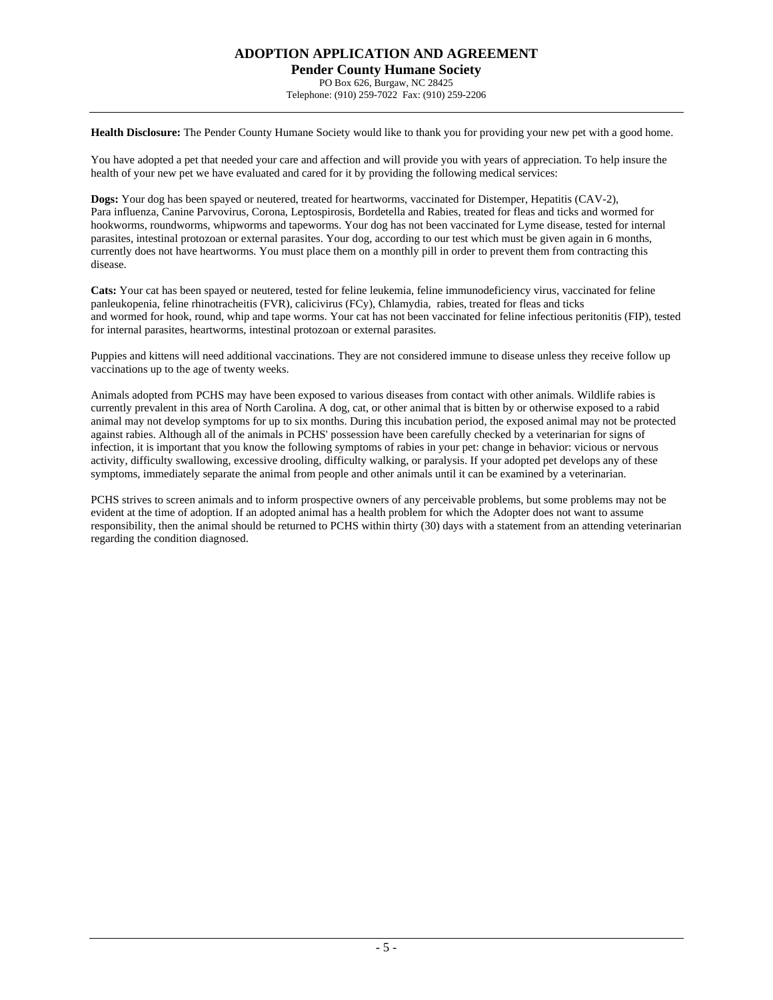PO Box 626, Burgaw, NC 28425 Telephone: (910) 259-7022 Fax: (910) 259-2206

**Health Disclosure:** The Pender County Humane Society would like to thank you for providing your new pet with a good home.

You have adopted a pet that needed your care and affection and will provide you with years of appreciation. To help insure the health of your new pet we have evaluated and cared for it by providing the following medical services:

**Dogs:** Your dog has been spayed or neutered, treated for heartworms, vaccinated for Distemper, Hepatitis (CAV-2), Para influenza, Canine Parvovirus, Corona, Leptospirosis, Bordetella and Rabies, treated for fleas and ticks and wormed for hookworms, roundworms, whipworms and tapeworms. Your dog has not been vaccinated for Lyme disease, tested for internal parasites, intestinal protozoan or external parasites. Your dog, according to our test which must be given again in 6 months, currently does not have heartworms. You must place them on a monthly pill in order to prevent them from contracting this disease.

**Cats:** Your cat has been spayed or neutered, tested for feline leukemia, feline immunodeficiency virus, vaccinated for feline panleukopenia, feline rhinotracheitis (FVR), calicivirus (FCy), Chlamydia, rabies, treated for fleas and ticks and wormed for hook, round, whip and tape worms. Your cat has not been vaccinated for feline infectious peritonitis (FIP), tested for internal parasites, heartworms, intestinal protozoan or external parasites.

Puppies and kittens will need additional vaccinations. They are not considered immune to disease unless they receive follow up vaccinations up to the age of twenty weeks.

Animals adopted from PCHS may have been exposed to various diseases from contact with other animals. Wildlife rabies is currently prevalent in this area of North Carolina. A dog, cat, or other animal that is bitten by or otherwise exposed to a rabid animal may not develop symptoms for up to six months. During this incubation period, the exposed animal may not be protected against rabies. Although all of the animals in PCHS' possession have been carefully checked by a veterinarian for signs of infection, it is important that you know the following symptoms of rabies in your pet: change in behavior: vicious or nervous activity, difficulty swallowing, excessive drooling, difficulty walking, or paralysis. If your adopted pet develops any of these symptoms, immediately separate the animal from people and other animals until it can be examined by a veterinarian.

PCHS strives to screen animals and to inform prospective owners of any perceivable problems, but some problems may not be evident at the time of adoption. If an adopted animal has a health problem for which the Adopter does not want to assume responsibility, then the animal should be returned to PCHS within thirty (30) days with a statement from an attending veterinarian regarding the condition diagnosed.